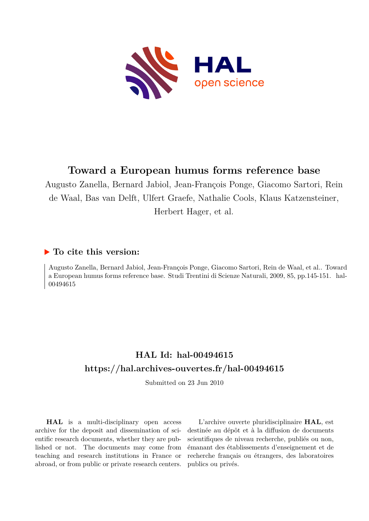

# **Toward a European humus forms reference base**

Augusto Zanella, Bernard Jabiol, Jean-François Ponge, Giacomo Sartori, Rein de Waal, Bas van Delft, Ulfert Graefe, Nathalie Cools, Klaus Katzensteiner, Herbert Hager, et al.

### **To cite this version:**

Augusto Zanella, Bernard Jabiol, Jean-François Ponge, Giacomo Sartori, Rein de Waal, et al.. Toward a European humus forms reference base. Studi Trentini di Scienze Naturali, 2009, 85, pp.145-151. ffhal-00494615ff

## **HAL Id: hal-00494615 <https://hal.archives-ouvertes.fr/hal-00494615>**

Submitted on 23 Jun 2010

**HAL** is a multi-disciplinary open access archive for the deposit and dissemination of scientific research documents, whether they are published or not. The documents may come from teaching and research institutions in France or abroad, or from public or private research centers.

L'archive ouverte pluridisciplinaire **HAL**, est destinée au dépôt et à la diffusion de documents scientifiques de niveau recherche, publiés ou non, émanant des établissements d'enseignement et de recherche français ou étrangers, des laboratoires publics ou privés.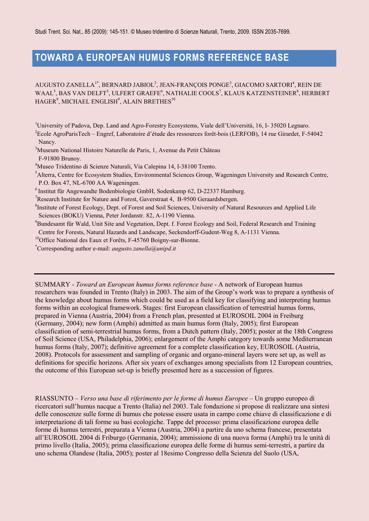## **TOWARD A EUROPEAN HUMUS FORMS REFERENCE BASE**

AUGUSTO ZANELLA<sup>1\*</sup>, BERNARD JABIOL<sup>2</sup>, JEAN-FRANÇOIS PONGE<sup>3</sup>, GIACOMO SARTORI<sup>4</sup>, REIN DE WAAL<sup>5</sup>, BAS VAN DELFT<sup>5</sup>, ULFERT GRAEFE<sup>6</sup>, NATHALIE COOLS<sup>7</sup>, KLAUS KATZENSTEINER<sup>8</sup>, HERBERT  $\mathrm{HAGER}^8,$  MICHAEL ENGLISH $^9,$  ALAIN BRETHES $^{10}$ 

<sup>1</sup>University of Padova, Dep. Land and Agro-Forestry Ecosystems, Viale dell'Università, 16, I- 35020 Legnaro.

<sup>2</sup>Ecole AgroParisTech – Engref, Laboratoire d'étude des ressources forêt-bois (LERFOB), 14 rue Girardet, F-54042 Nancy.

<sup>3</sup>Museum National Histoire Naturelle de Paris, 1, Avenue du Petit Château

F-91800 Brunoy.

<sup>4</sup>Museo Tridentino di Scienze Naturali, Via Calepina 14, I-38100 Trento.

<sup>5</sup>Alterra, Centre for Ecosystem Studies, Environmental Sciences Group, Wageningen University and Research Centre, P.O. Box 47, NL-6700 AA Wageningen.

 $6$ Institut für Angewandte Bodenbiologie GmbH, Sodenkamp 62, D-22337 Hamburg.

<sup>7</sup>Research Institute for Nature and Forest, Gaverstraat 4, B-9500 Geraardsbergen.

<sup>8</sup>Institute of Forest Ecology, Dept. of Forest and Soil Sciences, University of Natural Resources and Applied Life Sciences (BOKU) Vienna, Peter Jordanstr. 82, A-1190 Vienna.

<sup>9</sup>Bundesamt für Wald, Unit Site and Vegetation, Dept. f. Forest Ecology and Soil, Federal Research and Training Centre for Forests, Natural Hazards and Landscape, Seckendorff-Gudent-Weg 8, A-1131 Vienna.

<sup>10</sup>Office National des Eaux et Forêts, F-45760 Boigny-sur-Bionne.

\*Corresponding author e-mail: *augusto.zanella@unipd.it*

SUMMARY - *Toward an European humus forms reference base* - A network of European humus researchers was founded in Trento (Italy) in 2003. The aim of the Group's work was to prepare a synthesis of the knowledge about humus forms which could be used as a field key for classifying and interpreting humus forms within an ecological framework. Stages: first European classification of terrestrial humus forms, prepared in Vienna (Austria, 2004) from a French plan, presented at EUROSOIL 2004 in Freiburg (Germany, 2004); new form (Amphi) admitted as main humus form (Italy, 2005); first European classification of semi-terrestrial humus forms, from a Dutch pattern (Italy, 2005); poster at the 18th Congress of Soil Science (USA, Philadelphia, 2006); enlargement of the Amphi category towards some Mediterranean humus forms (Italy, 2007); definitive agreement for a complete classification key, EUROSOIL (Austria, 2008). Protocols for assessment and sampling of organic and organo-mineral layers were set up, as well as definitions for specific horizons. After six years of exchanges among specialists from 12 European countries, the outcome of this European set-up is briefly presented here as a succession of figures.

RIASSUNTO – *Verso una base di riferimento per le forme di humus Europee* – Un gruppo europeo di ricercatori sull'humus nacque a Trento (Italia) nel 2003. Tale fondazione si propose di realizzare una sintesi delle conoscenze sulle forme di humus che potesse essere usata in campo come chiave di classificazione e di interpretazione di tali forme su basi ecologiche. Tappe del processo: prima classificazione europea delle forme di humus terrestri, preparata a Vienna (Austria, 2004) a partire da uno schema francese, presentata all'EUROSOIL 2004 di Friburgo (Germania, 2004); ammissione di una nuova forma (Amphi) tra le unità di primo livello (Italia, 2005); prima classificazione europea delle forme di humus semi-terrestri, a partire da uno schema Olandese (Italia, 2005); poster al 18esimo Congresso della Scienza del Suolo (USA,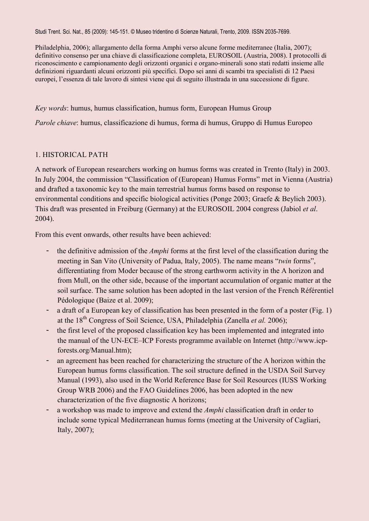Philadelphia, 2006); allargamento della forma Amphi verso alcune forme mediterranee (Italia, 2007); definitivo consenso per una chiave di classificazione completa, EUROSOIL (Austria, 2008). I protocolli di riconoscimento e campionamento degli orizzonti organici e organo-minerali sono stati redatti insieme alle definizioni riguardanti alcuni orizzonti più specifici. Dopo sei anni di scambi tra specialisti di 12 Paesi europei, l'essenza di tale lavoro di sintesi viene qui di seguito illustrada in una successione di figure.

*Key words*: humus, humus classification, humus form, European Humus Group

*Parole chiave*: humus, classificazione di humus, forma di humus, Gruppo di Humus Europeo

#### 1. HISTORICAL PATH

A network of European researchers working on humus forms was created in Trento (Italy) in 2003. In July 2004, the commission "Classification of (European) Humus Forms" met in Vienna (Austria) and drafted a taxonomic key to the main terrestrial humus forms based on response to environmental conditions and specific biological activities (Ponge 2003; Graefe & Beylich 2003). This draft was presented in Freiburg (Germany) at the EUROSOIL 2004 congress (Jabiol *et al*. 2004).

From this event onwards, other results have been achieved:

- the definitive admission of the *Amphi* forms at the first level of the classification during the meeting in San Vito (University of Padua, Italy, 2005). The name means "*twin* forms", differentiating from Moder because of the strong earthworm activity in the A horizon and from Mull, on the other side, because of the important accumulation of organic matter at the soil surface. The same solution has been adopted in the last version of the French Référentiel Pédologique (Baize et al. 2009);
- a draft of a European key of classification has been presented in the form of a poster (Fig. 1) at the 18th Congress of Soil Science, USA, Philadelphia (Zanella *et al.* 2006);
- the first level of the proposed classification key has been implemented and integrated into the manual of the UN-ECE–ICP Forests programme available on Internet [\(http://www.icp](http://www.icp-forests.org/Manual.htm)[forests.org/Manual.htm\)](http://www.icp-forests.org/Manual.htm);
- an agreement has been reached for characterizing the structure of the A horizon within the European humus forms classification. The soil structure defined in the USDA Soil Survey Manual (1993), also used in the World Reference Base for Soil Resources (IUSS Working Group WRB 2006) and the FAO Guidelines 2006, has been adopted in the new characterization of the five diagnostic A horizons;
- a workshop was made to improve and extend the *Amphi* classification draft in order to include some typical Mediterranean humus forms (meeting at the University of Cagliari, Italy, 2007);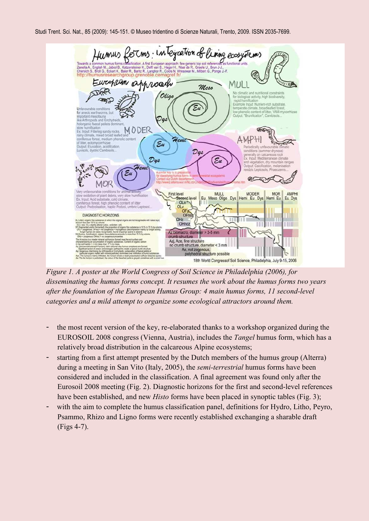

*Figure 1. A poster at the World Congress of Soil Science in Philadelphia (2006), for disseminating the humus forms concept. It resumes the work about the humus forms two years after the foundation of the European Humus Group: 4 main humus forms, 11 second-level categories and a mild attempt to organize some ecological attractors around them.* 

- the most recent version of the key, re-elaborated thanks to a workshop organized during the EUROSOIL 2008 congress (Vienna, Austria), includes the *Tangel* humus form, which has a relatively broad distribution in the calcareous Alpine ecosystems;
- starting from a first attempt presented by the Dutch members of the humus group (Alterra) during a meeting in San Vito (Italy, 2005), the *semi-terrestrial* humus forms have been considered and included in the classification. A final agreement was found only after the Eurosoil 2008 meeting (Fig. 2). Diagnostic horizons for the first and second-level references have been established, and new *Histo* forms have been placed in synoptic tables (Fig. 3);
- with the aim to complete the humus classification panel, definitions for Hydro, Litho, Peyro, Psammo, Rhizo and Ligno forms were recently established exchanging a sharable draft (Figs 4-7).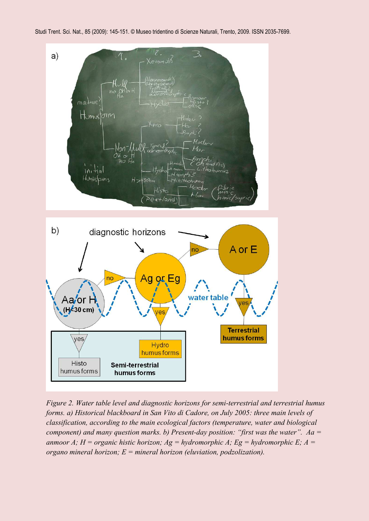

*Figure 2. Water table level and diagnostic horizons for semi-terrestrial and terrestrial humus forms. a) Historical blackboard in San Vito di Cadore, on July 2005: three main levels of classification, according to the main ecological factors (temperature, water and biological component) and many question marks. b) Present-day position: "first was the water". Aa = anmoor A; H = organic histic horizon; Ag = hydromorphic A; Eg = hydromorphic E; A = organo mineral horizon; E = mineral horizon (eluviation, podzolization).*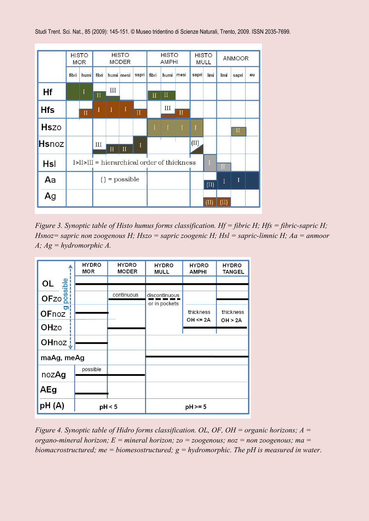

*Figure 3. Synoptic table of Histo humus forms classification. Hf = fibric H; Hfs = fibric-sapric H; Hsnoz= sapric non zoogenous H; Hszo = sapric zoogenic H; Hsl = sapric-limnic H; Aa = anmoor A; Ag = hydromorphic A.* 

|                                          | <b>HYDRO</b><br>MOR | <b>HYDRO</b><br><b>MODER</b> | <b>HYDRO</b><br>MULL | <b>HYDRO</b><br><b>AMPHI</b> | <b>HYDRO</b><br><b>TANGEL</b>  |  |
|------------------------------------------|---------------------|------------------------------|----------------------|------------------------------|--------------------------------|--|
|                                          |                     |                              |                      |                              |                                |  |
| $OL \frac{a}{a} \frac{b}{a} \frac{c}{a}$ |                     | continuous                   | discontinuous        |                              |                                |  |
| g<br>OFnoz                               |                     |                              | or in pockets        | thickness<br>OH <= 2A        | thickness<br><b>OH &gt; 2A</b> |  |
| OHzo                                     |                     |                              |                      |                              |                                |  |
| OHnoz j                                  |                     |                              |                      |                              |                                |  |
| maAg, meAg                               |                     |                              |                      |                              |                                |  |
| nozAg                                    | possible            |                              |                      |                              |                                |  |
|                                          |                     |                              |                      |                              |                                |  |
| AEg                                      |                     |                              |                      |                              |                                |  |
| pH(A)                                    | pH < 5              |                              | $pH > = 5$           |                              |                                |  |

*Figure 4. Synoptic table of Hidro forms classification. OL, OF, OH = organic horizons; A = organo-mineral horizon; E = mineral horizon; zo = zoogenous; noz = non zoogenous; ma = biomacrostructured; me = biomesostructured; g = hydromorphic. The pH is measured in water*.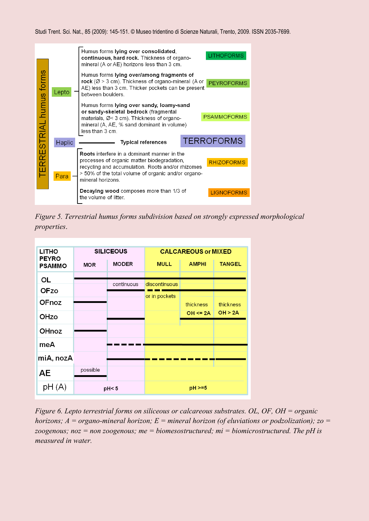

*Figure 5. Terrestrial humus forms subdivision based on strongly expressed morphological properties*.

| <b>LITHO</b>                  |            | <b>SILICEOUS</b> | <b>CALCAREOUS or MIXED</b> |              |                      |  |  |
|-------------------------------|------------|------------------|----------------------------|--------------|----------------------|--|--|
| <b>PEYRO</b><br><b>PSAMMO</b> | <b>MOR</b> | <b>MODER</b>     | <b>MULL</b>                | <b>AMPHI</b> | <b>TANGEL</b>        |  |  |
| OL                            |            |                  |                            |              |                      |  |  |
| OFzo                          |            | continuous       | discontinuous              |              |                      |  |  |
| <b>OFnoz</b>                  |            |                  | or in pockets              |              |                      |  |  |
|                               |            |                  |                            | thickness    | thickness<br>OH > 2A |  |  |
| OHzo                          |            |                  |                            | $OH \leq 2A$ |                      |  |  |
| OHnoz                         |            |                  |                            |              |                      |  |  |
| meA                           |            |                  |                            |              |                      |  |  |
| miA, nozA                     |            |                  |                            |              |                      |  |  |
| <b>AE</b>                     | possible   |                  |                            |              |                      |  |  |
| pH(A)                         | pH < 5     |                  |                            | $pH > = 5$   |                      |  |  |

*Figure 6. Lepto terrestrial forms on siliceous or calcareous substrates. OL, OF, OH = organic horizons; A = organo-mineral horizon; E = mineral horizon (of eluviations or podzolization); zo = zoogenous; noz = non zoogenous; me = biomesostructured; mi = biomicrostructured. The pH is measured in water.*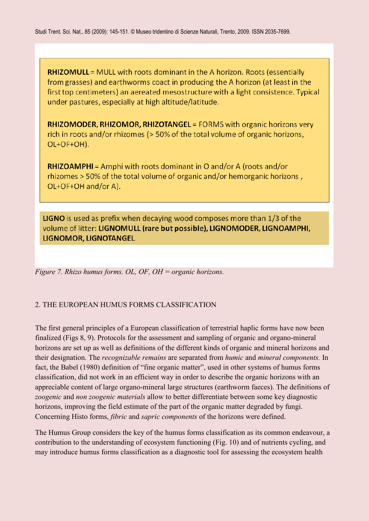**RHIZOMULL** = MULL with roots dominant in the A horizon. Roots (essentially from grasses) and earthworms coact in producing the A horizon (at least in the first top centimeters) an aereated mesostructure with a light consistence. Typical under pastures, especially at high altitude/latitude.

**RHIZOMODER, RHIZOMOR, RHIZOTANGEL** = FORMS with organic horizons very rich in roots and/or rhizomes (> 50% of the total volume of organic horizons, OL+OF+OH).

**RHIZOAMPHI** = Amphi with roots dominant in O and/or A (roots and/or rhizomes > 50% of the total volume of organic and/or hemorganic horizons, OL+OF+OH and/or A).

**LIGNO** is used as prefix when decaying wood composes more than 1/3 of the volume of litter: LIGNOMULL (rare but possible), LIGNOMODER, LIGNOAMPHI, LIGNOMOR, LIGNOTANGEL

*Figure 7. Rhizo humus forms. OL, OF, OH = organic horizons.* 

### 2. THE EUROPEAN HUMUS FORMS CLASSIFICATION

The first general principles of a European classification of terrestrial haplic forms have now been finalized (Figs 8, 9). Protocols for the assessment and sampling of organic and organo-mineral horizons are set up as well as definitions of the different kinds of organic and mineral horizons and their designation. The *recognizable remains* are separated from *humic* and *mineral components.* In fact, the Babel (1980) definition of "fine organic matter", used in other systems of humus forms classification, did not work in an efficient way in order to describe the organic horizons with an appreciable content of large organo-mineral large structures (earthworm faeces). The definitions of *zoogenic* and *non zoogenic materials* allow to better differentiate between some key diagnostic horizons, improving the field estimate of the part of the organic matter degraded by fungi. Concerning Histo forms, *fibric* and *sapric components* of the horizons were defined.

The Humus Group considers the key of the humus forms classification as its common endeavour, a contribution to the understanding of ecosystem functioning (Fig. 10) and of nutrients cycling, and may introduce humus forms classification as a diagnostic tool for assessing the ecosystem health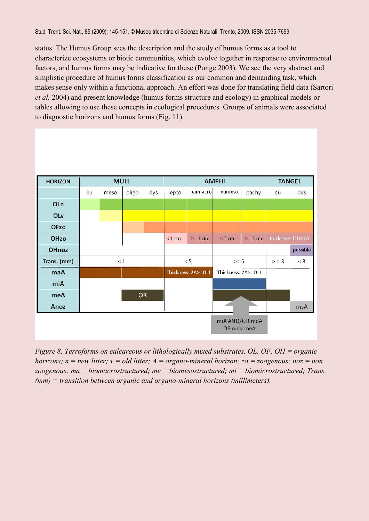status. The Humus Group sees the description and the study of humus forms as a tool to characterize ecosystems or biotic communities, which evolve together in response to environmental factors, and humus forms may be indicative for these (Ponge 2003). We see the very abstract and simplistic procedure of humus forms classification as our common and demanding task, which makes sense only within a functional approach. An effort was done for translating field data (Sartori *et al.* 2004) and present knowledge (humus forms structure and ecology) in graphical models or tables allowing to use these concepts in ecological procedures. Groups of animals were associated to diagnostic horizons and humus forms (Fig. 11).

| <b>HORIZON</b> | <b>MULL</b> |      |           |     | <b>AMPHI</b> |                   |                               |            | <b>TANGEL</b> |                  |
|----------------|-------------|------|-----------|-----|--------------|-------------------|-------------------------------|------------|---------------|------------------|
|                | eu          | meso | oligo     | dys | lepto        | eumacro           | eumeso                        | pachy      | eu            | dys              |
| OLn            |             |      |           |     |              |                   |                               |            |               |                  |
| OLv            |             |      |           |     |              |                   |                               |            |               |                  |
| <b>OFzo</b>    |             |      |           |     |              |                   |                               |            |               |                  |
| OHzo           |             |      |           |     | $< 1$ cm     | $> = 1$ cm        | $<$ 3 cm                      | $> = 3$ cm |               | thickness: OH>2A |
| OHnoz          |             |      |           |     |              |                   |                               |            |               | possible         |
| Trans. (mm)    | $\leq 1$    |      | $< 5$     |     | $>= 5$       |                   | > 3                           | $<$ 3      |               |                  |
| maA            |             |      |           |     |              | Thickness: 2A>=OH | Thickness: 2A>=OH             |            |               |                  |
| miA            |             |      |           |     |              |                   |                               |            |               |                  |
| meA            |             |      | <b>OR</b> |     |              |                   |                               |            |               |                  |
| Anoz           |             |      |           |     |              |                   |                               |            |               | msA              |
|                |             |      |           |     |              |                   | miA AND/OR meA<br>OR only meA |            |               |                  |

*Figure 8. Terroforms on calcareous or lithologically mixed substrates. OL, OF, OH = organic horizons; n = new litter; v = old litter; A = organo-mineral horizon; zo = zoogenous; noz = non zoogenous; ma = biomacrostructured; me = biomesostructured; mi = biomicrostructured; Trans. (mm) = transition between organic and organo-mineral horizons (millimeters).*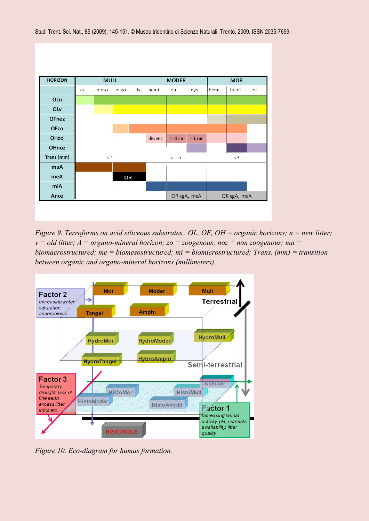

*Figure 9. Terroforms on acid siliceous substrates . OL, OF, OH = organic horizons; n = new litter; v = old litter; A = organo-mineral horizon; zo = zoogenous; noz = non zoogenous; ma = biomacrostructured; me = biomesostructured; mi = biomicrostructured; Trans. (mm) = transition between organic and organo-mineral horizons (millimeters).*



*Figure 10. Eco-diagram for humus formation.*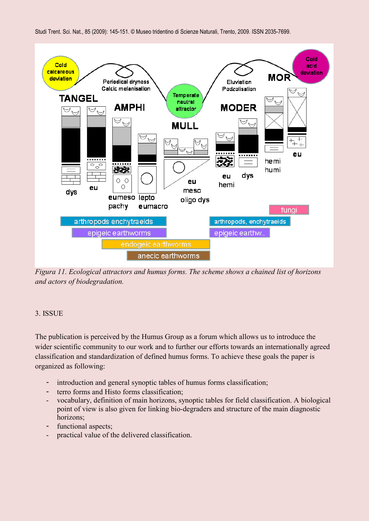

*Figura 11. Ecological attractors and humus forms. The scheme shows a chained list of horizons and actors of biodegradation.*

### 3. ISSUE

The publication is perceived by the Humus Group as a forum which allows us to introduce the wider scientific community to our work and to further our efforts towards an internationally agreed classification and standardization of defined humus forms. To achieve these goals the paper is organized as following:

- introduction and general synoptic tables of humus forms classification;
- terro forms and Histo forms classification;
- vocabulary, definition of main horizons, synoptic tables for field classification. A biological point of view is also given for linking bio-degraders and structure of the main diagnostic horizons;
- functional aspects;
- practical value of the delivered classification.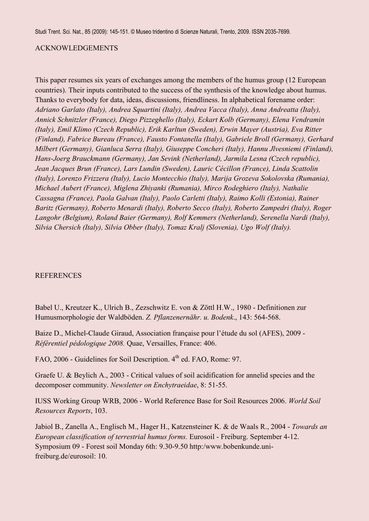#### ACKNOWLEDGEMENTS

This paper resumes six years of exchanges among the members of the humus group (12 European countries). Their inputs contributed to the success of the synthesis of the knowledge about humus. Thanks to everybody for data, ideas, discussions, friendliness. In alphabetical forename order: *Adriano Garlato (Italy), Andrea Squartini (Italy), Andrea Vacca (Italy), Anna Andreatta (Italy), Annick Schnitzler (France), Diego Pizzeghello (Italy), Eckart Kolb (Germany), Elena Vendramin (Italy), Emil Klimo (Czech Republic), Erik Karltun (Sweden), Erwin Mayer (Austria), Eva Ritter (Finland), Fabrice Bureau (France), Fausto Fontanella (Italy), Gabriele Broll (Germany), Gerhard Milbert (Germany), Gianluca Serra (Italy), Giuseppe Concheri (Italy), Hannu Jlvesniemi (Finland), Hans-Joerg Brauckmann [\(Germany\)](mailto:hjbrauckmann@ispa.uni-vechta.de), Jan Sevink (Netherland), Jarmila Lesna (Czech republic), Jean Jacques Brun (France), Lars Lundin (Sweden), Lauric Cécillon (France), Linda Scattolin (Italy), Lorenzo Frizzera (Italy), Lucio Montecchio (Italy), Marija Grozeva Sokolovska (Rumania), Michael Aubert (France), Miglena Zhiyanki (Rumania), Mirco Rodeghiero (Italy), Nathalie Cassagna (France), Paola Galvan (Italy), Paolo Carletti (Italy), Raimo Kolli (Estonia), Rainer Baritz (Germany), Roberto Menardi (Italy), Roberto Secco [\(Italy\)](mailto:rsecco@arpa.veneto.it), Roberto Zampedri (Italy), Roger Langohr (Belgium), Roland Baier (Germany), Rolf Kemmers (Netherland), Serenella Nardi (Italy), Silvia Chersich (Italy), Silvia Obber (Italy), Tomaz Kralj (Slovenia), Ugo Wolf (Italy).* 

#### **REFERENCES**

Babel U., Kreutzer K., Ulrich B., Zezschwitz E. von & Zöttl H.W., 1980 - Definitionen zur Humusmorphologie der Waldböden. *Z. Pflanzenernähr. u. Bodenk*., 143: 564-568.

Baize D., Michel-Claude Giraud, Association française pour l'étude du sol (AFES), 2009 - *Référentiel pédologique 2008.* Quae, Versailles, France: 406.

FAO, 2006 - Guidelines for Soil Description. 4<sup>th</sup> ed. FAO, Rome: 97.

Graefe U. & Beylich A., 2003 - Critical values of soil acidification for annelid species and the decomposer community. *Newsletter on Enchytraeidae*, 8: 51-55.

IUSS Working Group WRB, 2006 - World Reference Base for Soil Resources 2006. *World Soil Resources Reports*, 103.

Jabiol B., Zanella A., Englisch M., Hager H., Katzensteiner K. & de Waals R., 2004 - *Towards an European classification of terrestrial humus forms.* Eurosoil - Freiburg. September 4-12. Symposium 09 - Forest soil Monday 6th: 9.30-9.50 http:/www.bobenkunde.unifreiburg.de/eurosoil: 10.